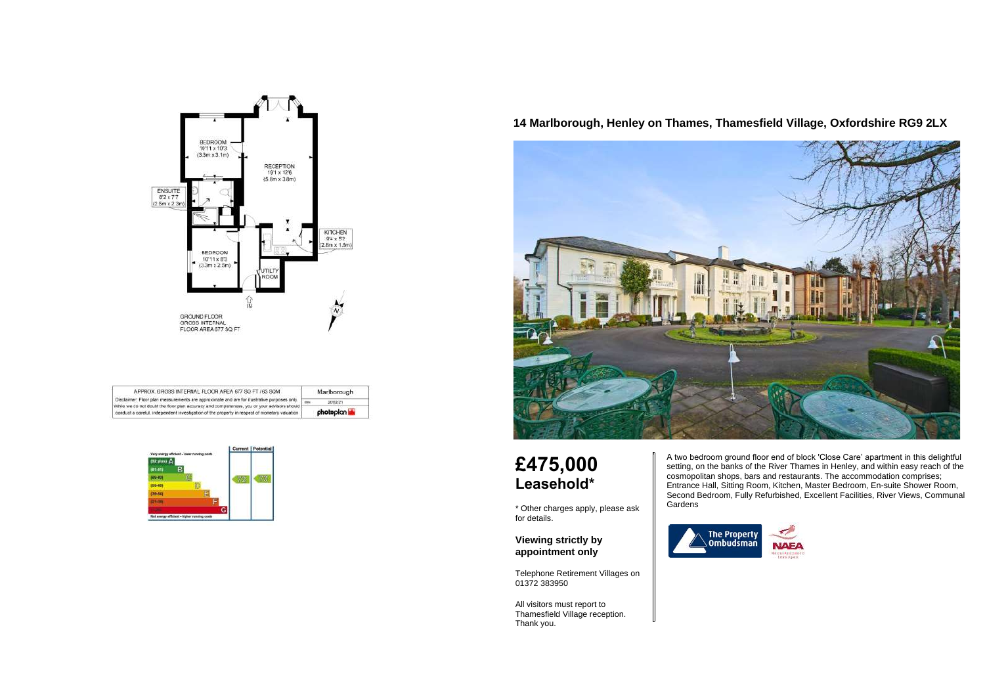

| APPROX. GROSS INTERNAL FLOOR AREA 677 SQ FT / 63 SQM.                                                                                                                                          | Marlborough |  |
|------------------------------------------------------------------------------------------------------------------------------------------------------------------------------------------------|-------------|--|
| Disclaimer: Floor plan measurements are approximate and are for illustrative purposes only.                                                                                                    | 20/02/21    |  |
| While we do not doubt the floor plan accuracy and completeness, you or your advisors should !<br>conduct a careful, independent investigation of the property in respect of monetary valuation | photopian   |  |



# **14 Marlborough, Henley on Thames, Thamesfield Village, Oxfordshire RG9 2LX**



# **£475,000 Leasehold\***

\* Other charges apply, please ask for details.

**Viewing strictly by appointment only**

Telephone Retirement Villages on 01372 383950

All visitors must report to Thamesfield Village reception. Thank you.

A two bedroom ground floor end of block 'Close Care' apartment in this delightful setting, on the banks of the River Thames in Henley, and within easy reach of the cosmopolitan shops, bars and restaurants. The accommodation comprises; Entrance Hall, Sitting Room, Kitchen, Master Bedroom, En-suite Shower Room, Second Bedroom, Fully Refurbished, Excellent Facilities, River Views, Communal Gardens